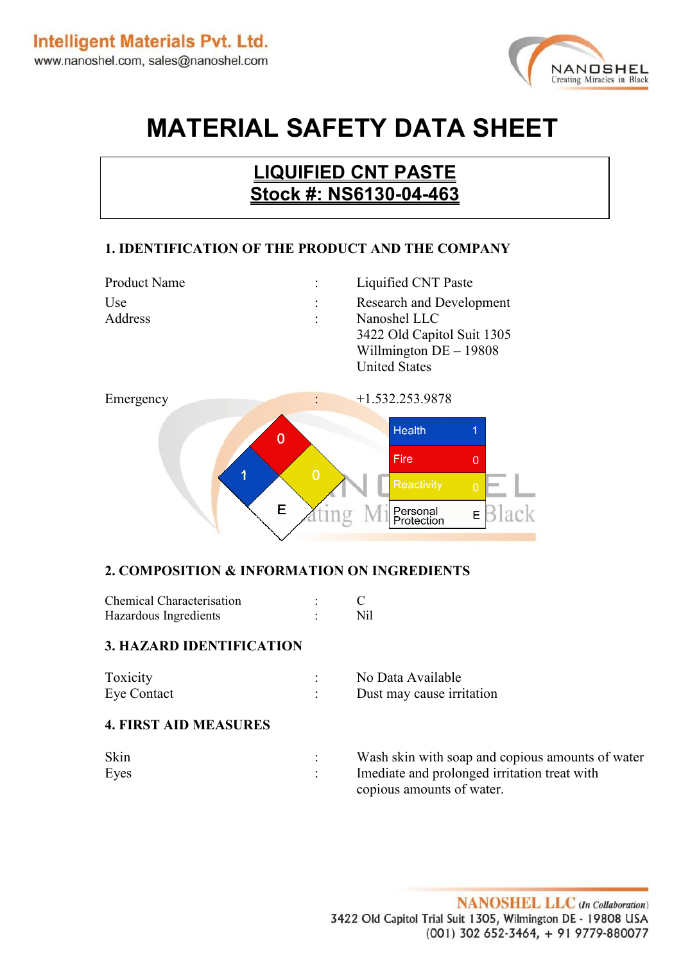

# **MATERIAL SAFETY DATA SHEET**

# **LIQUIFIED CNT PASTE Stock #: NS6130-04-463**

#### **1. IDENTIFICATION OF THE PRODUCT AND THE COMPANY**



#### **2. COMPOSITION & INFORMATION ON INGREDIENTS**

| <b>Chemical Characterisation</b> |      |
|----------------------------------|------|
| Hazardous Ingredients            | Nil. |

#### **3. HAZARD IDENTIFICATION**

| Toxicity    | No Data Available         |
|-------------|---------------------------|
| Eye Contact | Dust may cause irritation |

#### **4. FIRST AID MEASURES**

| Skin | Wash skin with soap and copious amounts of water |
|------|--------------------------------------------------|
| Eyes | Imediate and prolonged irritation treat with     |
|      | copious amounts of water.                        |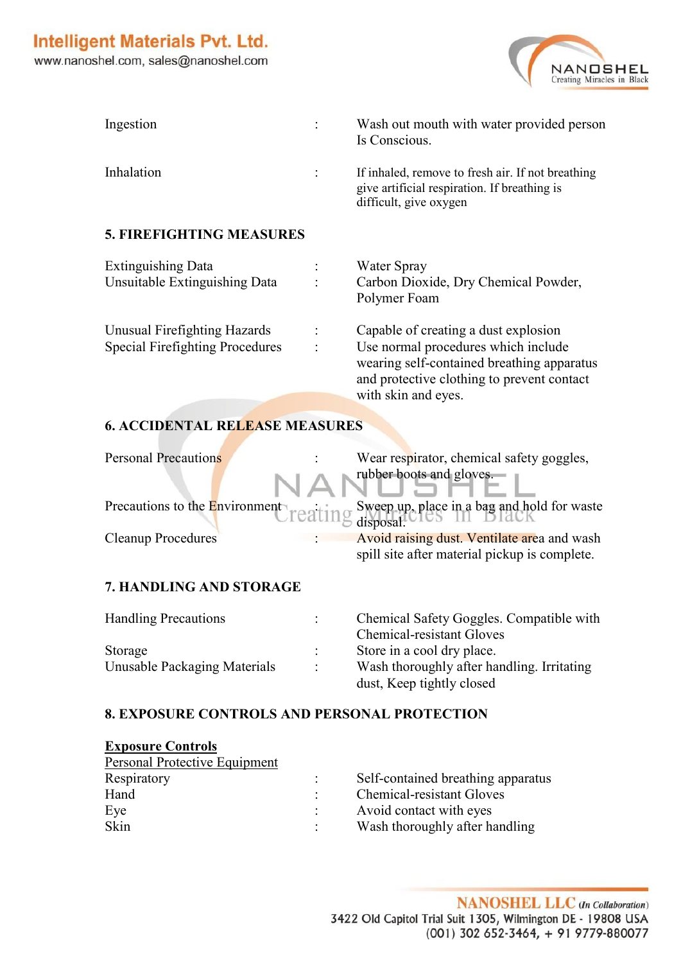

| Ingestion                                                              | Wash out mouth with water provided person<br>Is Conscious.                                                                                                                                     |
|------------------------------------------------------------------------|------------------------------------------------------------------------------------------------------------------------------------------------------------------------------------------------|
| Inhalation                                                             | If inhaled, remove to fresh air. If not breathing<br>give artificial respiration. If breathing is<br>difficult, give oxygen                                                                    |
| <b>5. FIREFIGHTING MEASURES</b>                                        |                                                                                                                                                                                                |
| <b>Extinguishing Data</b><br>Unsuitable Extinguishing Data             | Water Spray<br>Carbon Dioxide, Dry Chemical Powder,<br>Polymer Foam                                                                                                                            |
| Unusual Firefighting Hazards<br><b>Special Firefighting Procedures</b> | Capable of creating a dust explosion<br>Use normal procedures which include<br>wearing self-contained breathing apparatus<br>and protective clothing to prevent contact<br>with skin and eyes. |
|                                                                        |                                                                                                                                                                                                |

#### **6. ACCIDENTAL RELEASE MEASURES**

| <b>Personal Precautions</b> | Wear respirator, chemical safety goggles,                                                    |
|-----------------------------|----------------------------------------------------------------------------------------------|
|                             | Tubber boots and gloves.                                                                     |
|                             | Precautions to the Environment<br>reating Sweep up, place in a bag and hold for waste        |
| <b>Cleanup Procedures</b>   | Avoid raising dust. Ventilate area and wash<br>spill site after material pickup is complete. |

#### **7. HANDLING AND STORAGE**

| <b>Handling Precautions</b>             | Chemical Safety Goggles. Compatible with<br><b>Chemical-resistant Gloves</b> |
|-----------------------------------------|------------------------------------------------------------------------------|
| Storage<br>Unusable Packaging Materials | Store in a cool dry place.<br>Wash thoroughly after handling. Irritating     |
|                                         | dust, Keep tightly closed                                                    |

#### **8. EXPOSURE CONTROLS AND PERSONAL PROTECTION**

| <b>Exposure Controls</b>             |                                    |
|--------------------------------------|------------------------------------|
| <b>Personal Protective Equipment</b> |                                    |
| Respiratory                          | Self-contained breathing apparatus |
| Hand                                 | <b>Chemical-resistant Gloves</b>   |
| Eye                                  | Avoid contact with eyes            |
| Skin                                 | Wash thoroughly after handling     |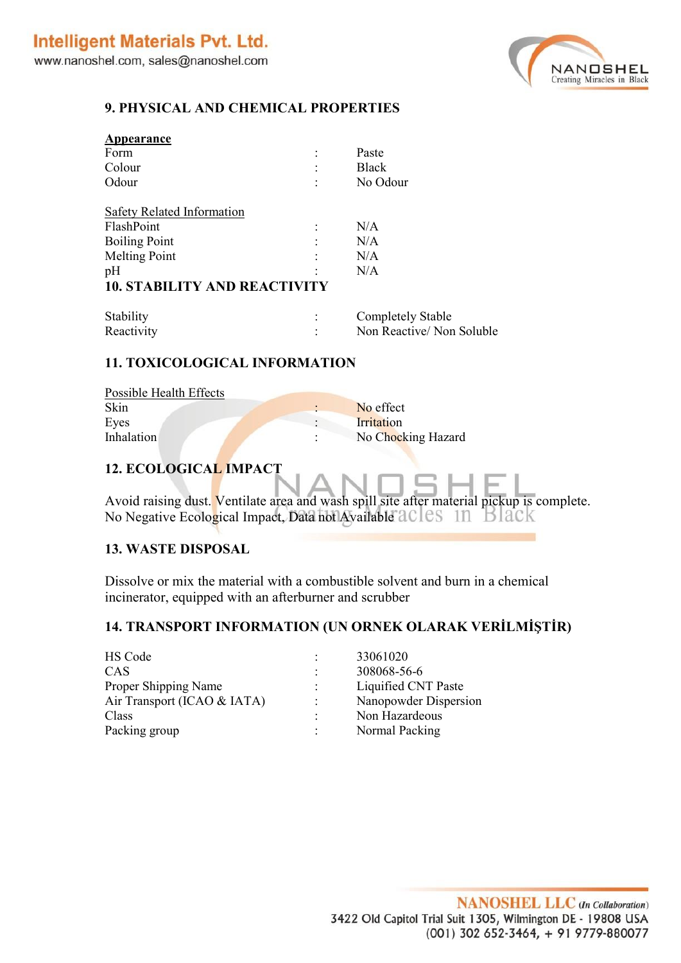

#### **9. PHYSICAL AND CHEMICAL PROPERTIES**

| Appearance                          |                          |
|-------------------------------------|--------------------------|
| Form                                | Paste                    |
| Colour                              | <b>Black</b>             |
| Odour                               | No Odour                 |
| Safety Related Information          |                          |
| FlashPoint                          | N/A                      |
| <b>Boiling Point</b>                | N/A                      |
| <b>Melting Point</b>                | N/A                      |
| pH                                  | N/A                      |
| <b>10. STABILITY AND REACTIVITY</b> |                          |
| Stability                           | <b>Completely Stable</b> |

| Stability  | Completely Stable        |
|------------|--------------------------|
| Reactivity | Non Reactive/Non Soluble |

#### **11. TOXICOLOGICAL INFORMATION**

| Possible Health Effects |                    |
|-------------------------|--------------------|
| Skin                    | No effect          |
| Eyes                    | Irritation         |
| <b>Inhalation</b>       | No Chocking Hazard |

### **12. ECOLOGICAL IMPACT**

Avoid raising dust. Ventilate area and wash spill site after material pickup is complete. No Negative Ecological Impact, Data not Available acles 11 Black

#### **13. WASTE DISPOSAL**

Dissolve or mix the material with a combustible solvent and burn in a chemical incinerator, equipped with an afterburner and scrubber

## **14. TRANSPORT INFORMATION (UN ORNEK OLARAK VERİLMİŞTİR)**

| HS Code                     |   | 33061020              |
|-----------------------------|---|-----------------------|
| CAS                         |   | 308068-56-6           |
| Proper Shipping Name        |   | Liquified CNT Paste   |
| Air Transport (ICAO & IATA) |   | Nanopowder Dispersion |
| Class                       | ٠ | Non Hazardeous        |
| Packing group               |   | Normal Packing        |
|                             |   |                       |